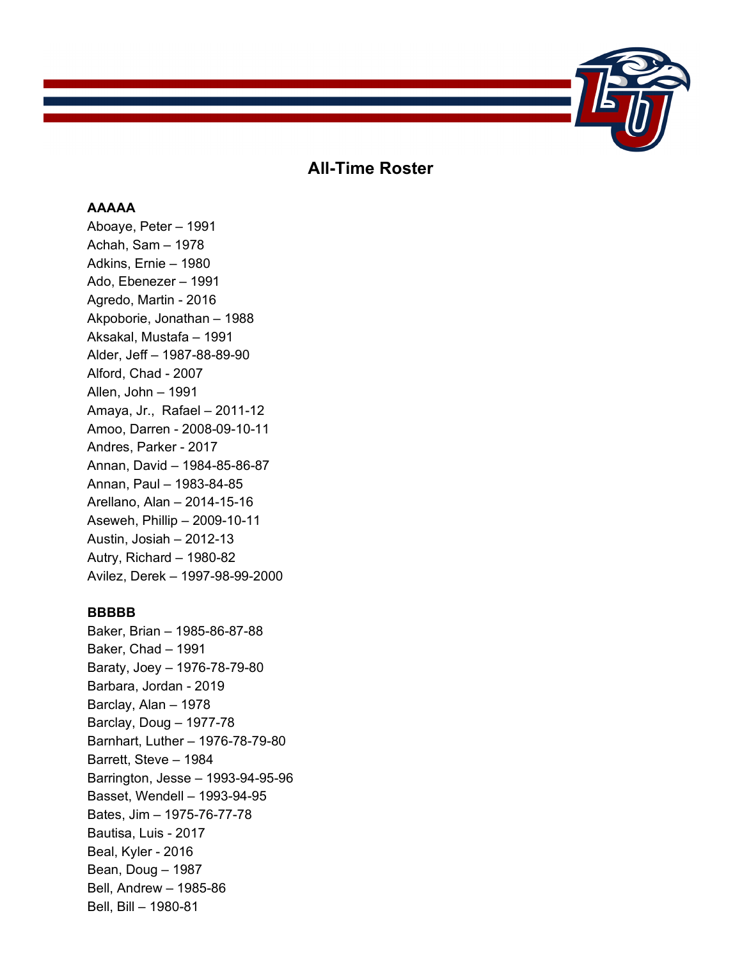

# **All-Time Roster**

# **AAAAA**

Aboaye, Peter – 1991 Achah, Sam – 1978 Adkins, Ernie – 1980 Ado, Ebenezer – 1991 Agredo, Martin - 2016 Akpoborie, Jonathan – 1988 Aksakal, Mustafa – 1991 Alder, Jeff – 1987-88-89-90 Alford, Chad - 2007 Allen, John – 1991 Amaya, Jr., Rafael – 2011-12 Amoo, Darren - 2008-09-10-11 Andres, Parker - 2017 Annan, David – 1984-85-86-87 Annan, Paul – 1983-84-85 Arellano, Alan – 2014-15-16 Aseweh, Phillip – 2009-10-11 Austin, Josiah – 2012-13 Autry, Richard – 1980-82 Avilez, Derek – 1997-98-99-2000

### **BBBBB**

Baker, Brian – 1985-86-87-88 Baker, Chad – 1991 Baraty, Joey – 1976-78-79-80 Barbara, Jordan - 2019 Barclay, Alan – 1978 Barclay, Doug – 1977-78 Barnhart, Luther – 1976-78-79-80 Barrett, Steve – 1984 Barrington, Jesse – 1993-94-95-96 Basset, Wendell – 1993-94-95 Bates, Jim – 1975-76-77-78 Bautisa, Luis - 2017 Beal, Kyler - 2016 Bean, Doug – 1987 Bell, Andrew – 1985-86 Bell, Bill – 1980-81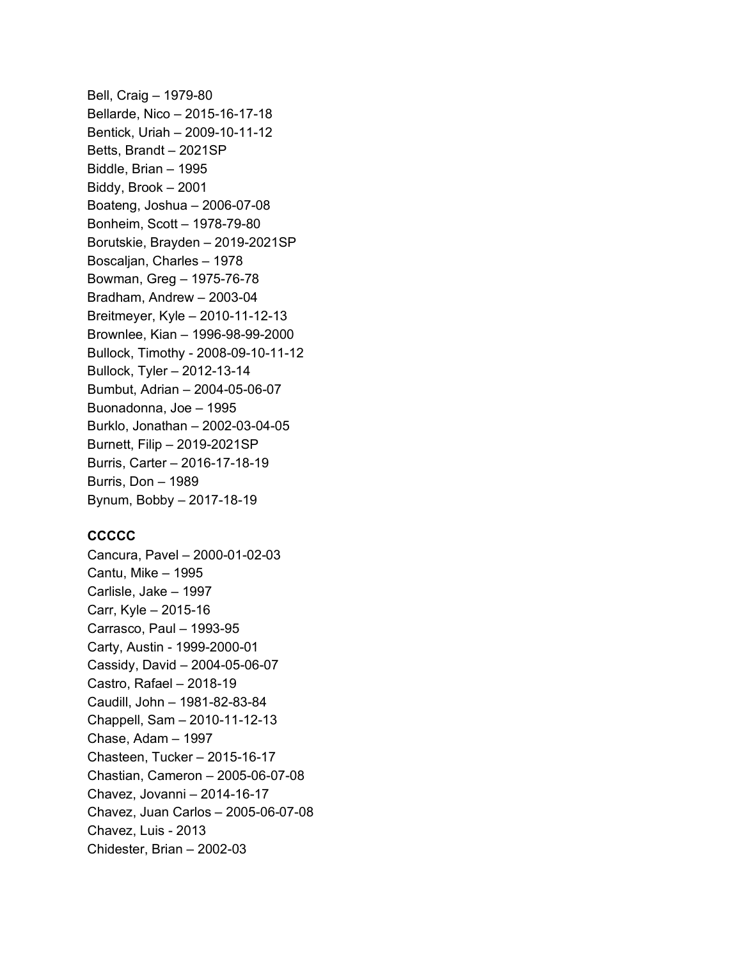Bell, Craig – 1979-80 Bellarde, Nico – 2015-16-17-18 Bentick, Uriah – 2009-10-11-12 Betts, Brandt – 2021SP Biddle, Brian – 1995 Biddy, Brook – 2001 Boateng, Joshua – 2006-07-08 Bonheim, Scott – 1978-79-80 Borutskie, Brayden – 2019-2021SP Boscaljan, Charles – 1978 Bowman, Greg – 1975-76-78 Bradham, Andrew – 2003-04 Breitmeyer, Kyle – 2010-11-12-13 Brownlee, Kian – 1996-98-99-2000 Bullock, Timothy - 2008-09-10-11-12 Bullock, Tyler – 2012-13-14 Bumbut, Adrian – 2004-05-06-07 Buonadonna, Joe – 1995 Burklo, Jonathan – 2002-03-04-05 Burnett, Filip – 2019-2021SP Burris, Carter – 2016-17-18-19 Burris, Don – 1989 Bynum, Bobby – 2017-18-19

# **CCCCC**

Cancura, Pavel – 2000-01-02-03 Cantu, Mike – 1995 Carlisle, Jake – 1997 Carr, Kyle – 2015-16 Carrasco, Paul – 1993-95 Carty, Austin - 1999-2000-01 Cassidy, David – 2004-05-06-07 Castro, Rafael – 2018-19 Caudill, John – 1981-82-83-84 Chappell, Sam – 2010-11-12-13 Chase, Adam – 1997 Chasteen, Tucker – 2015-16-17 Chastian, Cameron – 2005-06-07-08 Chavez, Jovanni – 2014-16-17 Chavez, Juan Carlos – 2005-06-07-08 Chavez, Luis - 2013 Chidester, Brian – 2002-03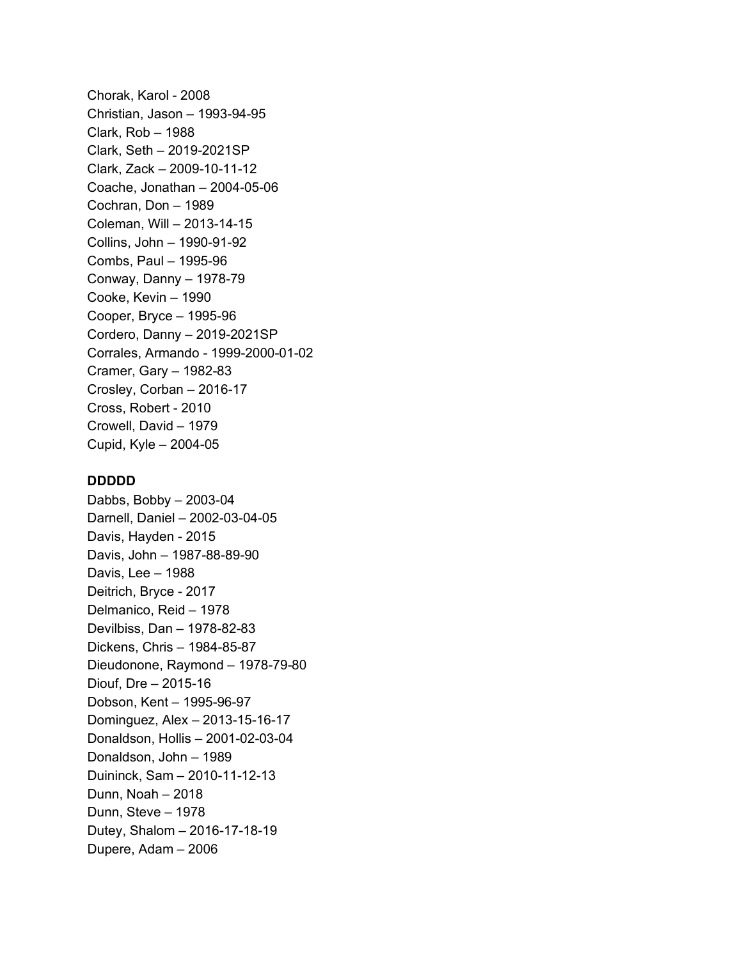Chorak, Karol - 2008 Christian, Jason – 1993-94-95 Clark, Rob – 1988 Clark, Seth – 2019-2021SP Clark, Zack – 2009-10-11-12 Coache, Jonathan – 2004-05-06 Cochran, Don – 1989 Coleman, Will – 2013-14-15 Collins, John – 1990-91-92 Combs, Paul – 1995-96 Conway, Danny – 1978-79 Cooke, Kevin – 1990 Cooper, Bryce – 1995-96 Cordero, Danny – 2019-2021SP Corrales, Armando - 1999-2000-01-02 Cramer, Gary – 1982-83 Crosley, Corban – 2016-17 Cross, Robert - 2010 Crowell, David – 1979 Cupid, Kyle – 2004-05

#### **DDDDD**

Dabbs, Bobby – 2003-04 Darnell, Daniel – 2002-03-04-05 Davis, Hayden - 2015 Davis, John – 1987-88-89-90 Davis, Lee – 1988 Deitrich, Bryce - 2017 Delmanico, Reid – 1978 Devilbiss, Dan – 1978-82-83 Dickens, Chris – 1984-85-87 Dieudonone, Raymond – 1978-79-80 Diouf, Dre – 2015-16 Dobson, Kent – 1995-96-97 Dominguez, Alex – 2013-15-16-17 Donaldson, Hollis – 2001-02-03-04 Donaldson, John – 1989 Duininck, Sam – 2010-11-12-13 Dunn, Noah – 2018 Dunn, Steve – 1978 Dutey, Shalom – 2016-17-18-19 Dupere, Adam – 2006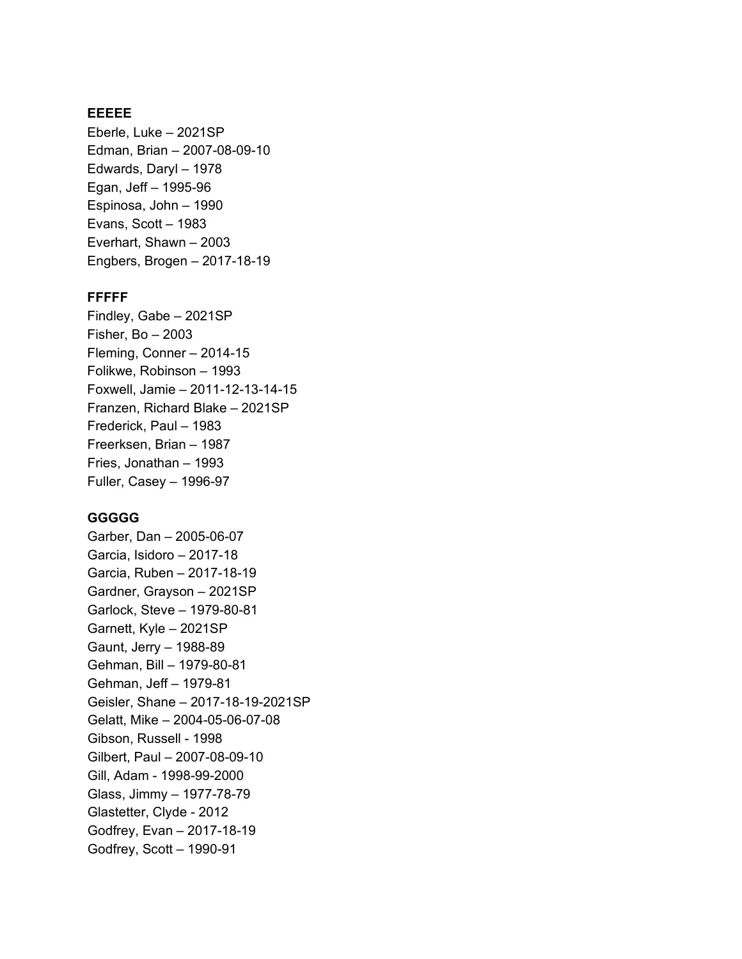# **EEEEE**

Eberle, Luke – 2021SP Edman, Brian – 2007-08-09-10 Edwards, Daryl – 1978 Egan, Jeff – 1995-96 Espinosa, John – 1990 Evans, Scott – 1983 Everhart, Shawn – 2003 Engbers, Brogen – 2017-18-19

#### **FFFFF**

Findley, Gabe – 2021SP Fisher, Bo – 2003 Fleming, Conner – 2014-15 Folikwe, Robinson – 1993 Foxwell, Jamie – 2011-12-13-14-15 Franzen, Richard Blake – 2021SP Frederick, Paul – 1983 Freerksen, Brian – 1987 Fries, Jonathan – 1993 Fuller, Casey – 1996-97

# **GGGGG**

Garber, Dan – 2005-06-07 Garcia, Isidoro – 2017-18 Garcia, Ruben – 2017-18-19 Gardner, Grayson – 2021SP Garlock, Steve – 1979-80-81 Garnett, Kyle – 2021SP Gaunt, Jerry – 1988-89 Gehman, Bill – 1979-80-81 Gehman, Jeff – 1979-81 Geisler, Shane – 2017-18-19-2021SP Gelatt, Mike – 2004-05-06-07-08 Gibson, Russell - 1998 Gilbert, Paul – 2007-08-09-10 Gill, Adam - 1998-99-2000 Glass, Jimmy – 1977-78-79 Glastetter, Clyde - 2012 Godfrey, Evan – 2017-18-19 Godfrey, Scott – 1990-91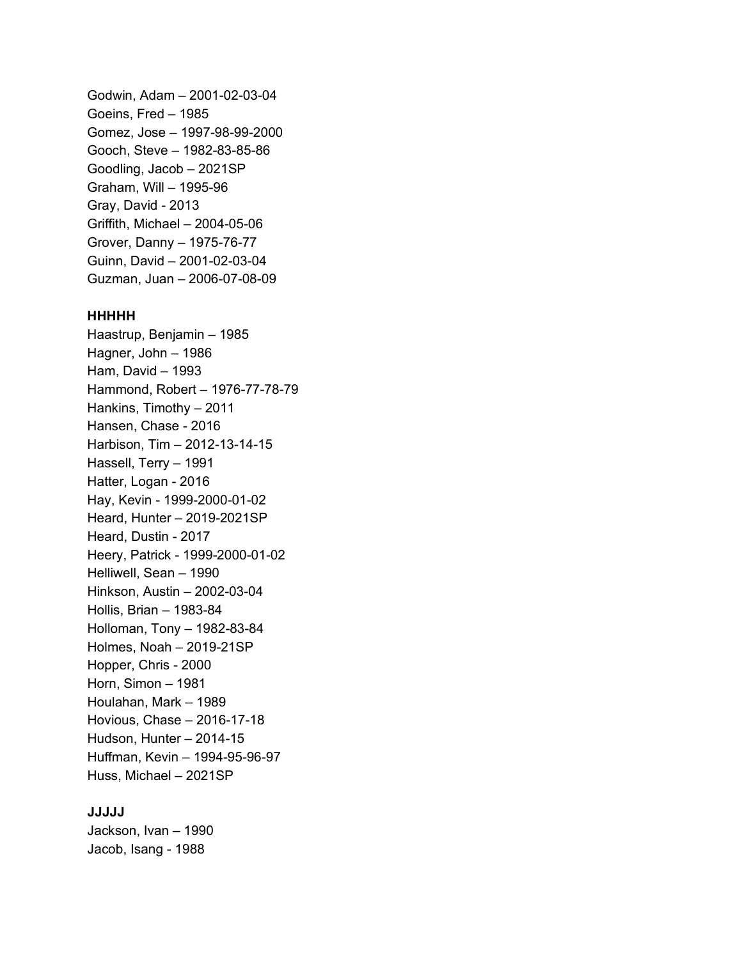Godwin, Adam – 2001-02-03-04 Goeins, Fred – 1985 Gomez, Jose – 1997-98-99-2000 Gooch, Steve – 1982-83-85-86 Goodling, Jacob – 2021SP Graham, Will – 1995-96 Gray, David - 2013 Griffith, Michael – 2004-05-06 Grover, Danny – 1975-76-77 Guinn, David – 2001-02-03-04 Guzman, Juan – 2006-07-08-09

#### **HHHHH**

Haastrup, Benjamin – 1985 Hagner, John – 1986 Ham, David – 1993 Hammond, Robert – 1976-77-78-79 Hankins, Timothy – 2011 Hansen, Chase - 2016 Harbison, Tim – 2012-13-14-15 Hassell, Terry – 1991 Hatter, Logan - 2016 Hay, Kevin - 1999-2000-01-02 Heard, Hunter – 2019-2021SP Heard, Dustin - 2017 Heery, Patrick - 1999-2000-01-02 Helliwell, Sean – 1990 Hinkson, Austin – 2002-03-04 Hollis, Brian – 1983-84 Holloman, Tony – 1982-83-84 Holmes, Noah – 2019-21SP Hopper, Chris - 2000 Horn, Simon – 1981 Houlahan, Mark – 1989 Hovious, Chase – 2016-17-18 Hudson, Hunter – 2014-15 Huffman, Kevin – 1994-95-96-97 Huss, Michael – 2021SP

# **JJJJJ**

Jackson, Ivan – 1990 Jacob, Isang - 1988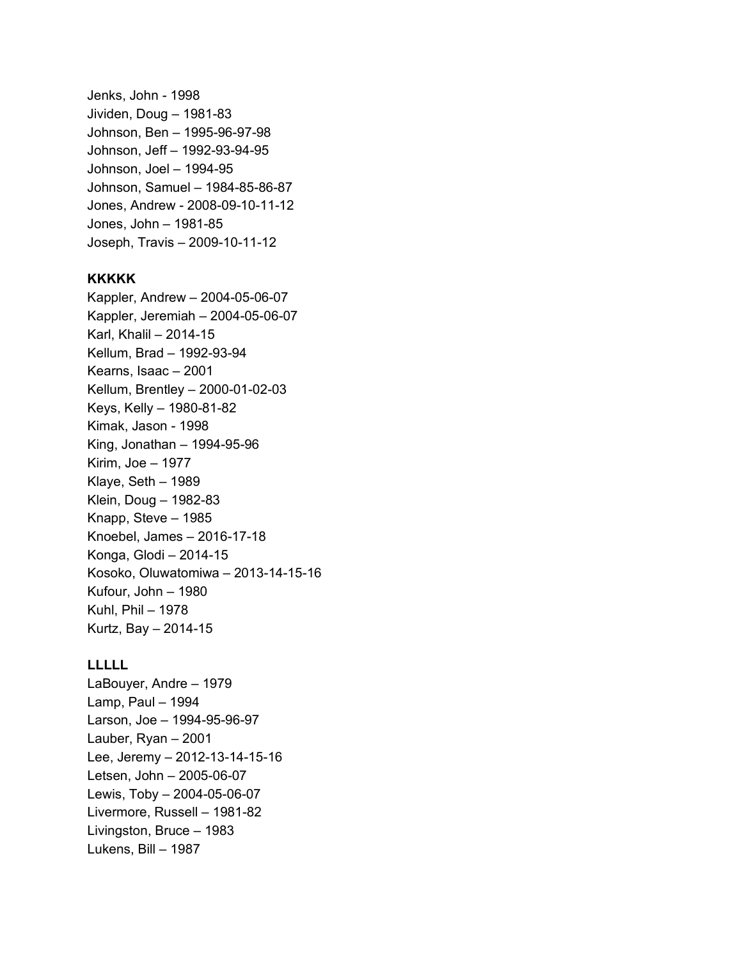Jenks, John - 1998 Jividen, Doug – 1981-83 Johnson, Ben – 1995-96-97-98 Johnson, Jeff – 1992-93-94-95 Johnson, Joel – 1994-95 Johnson, Samuel – 1984-85-86-87 Jones, Andrew - 2008-09-10-11-12 Jones, John – 1981-85 Joseph, Travis – 2009-10-11-12

# **KKKKK**

Kappler, Andrew – 2004-05-06-07 Kappler, Jeremiah – 2004-05-06-07 Karl, Khalil – 2014-15 Kellum, Brad – 1992-93-94 Kearns, Isaac – 2001 Kellum, Brentley – 2000-01-02-03 Keys, Kelly – 1980-81-82 Kimak, Jason - 1998 King, Jonathan – 1994-95-96 Kirim, Joe – 1977 Klaye, Seth – 1989 Klein, Doug – 1982-83 Knapp, Steve – 1985 Knoebel, James – 2016-17-18 Konga, Glodi – 2014-15 Kosoko, Oluwatomiwa – 2013-14-15-16 Kufour, John – 1980 Kuhl, Phil – 1978 Kurtz, Bay – 2014-15

#### **LLLLL**

LaBouyer, Andre – 1979 Lamp, Paul – 1994 Larson, Joe – 1994-95-96-97 Lauber, Ryan – 2001 Lee, Jeremy – 2012-13-14-15-16 Letsen, John – 2005-06-07 Lewis, Toby – 2004-05-06-07 Livermore, Russell – 1981-82 Livingston, Bruce – 1983 Lukens, Bill – 1987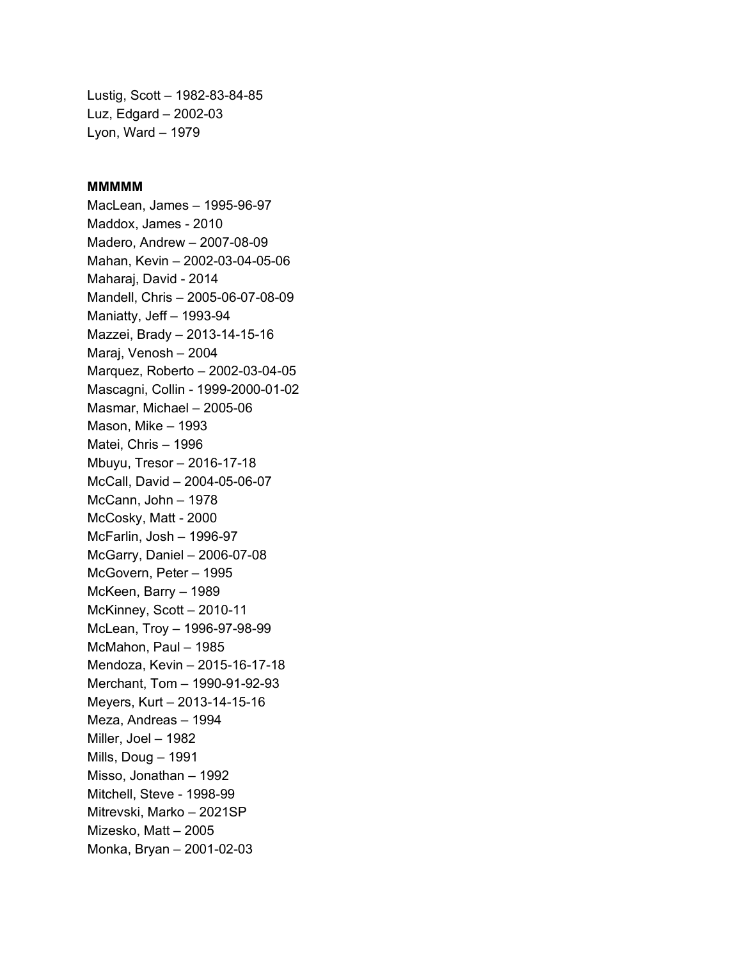Lustig, Scott – 1982-83-84-85 Luz, Edgard – 2002-03 Lyon, Ward – 1979

#### **MMMMM**

MacLean, James – 1995-96-97 Maddox, James - 2010 Madero, Andrew – 2007-08-09 Mahan, Kevin – 2002-03-04-05-06 Maharaj, David - 2014 Mandell, Chris – 2005-06-07-08-09 Maniatty, Jeff – 1993-94 Mazzei, Brady – 2013-14-15-16 Maraj, Venosh – 2004 Marquez, Roberto – 2002-03-04-05 Mascagni, Collin - 1999-2000-01-02 Masmar, Michael – 2005-06 Mason, Mike – 1993 Matei, Chris – 1996 Mbuyu, Tresor – 2016-17-18 McCall, David – 2004-05-06-07 McCann, John – 1978 McCosky, Matt - 2000 McFarlin, Josh – 1996-97 McGarry, Daniel – 2006-07-08 McGovern, Peter – 1995 McKeen, Barry – 1989 McKinney, Scott – 2010-11 McLean, Troy – 1996-97-98-99 McMahon, Paul – 1985 Mendoza, Kevin – 2015-16-17-18 Merchant, Tom – 1990-91-92-93 Meyers, Kurt – 2013-14-15-16 Meza, Andreas – 1994 Miller, Joel – 1982 Mills, Doug – 1991 Misso, Jonathan – 1992 Mitchell, Steve - 1998-99 Mitrevski, Marko – 2021SP Mizesko, Matt – 2005 Monka, Bryan – 2001-02-03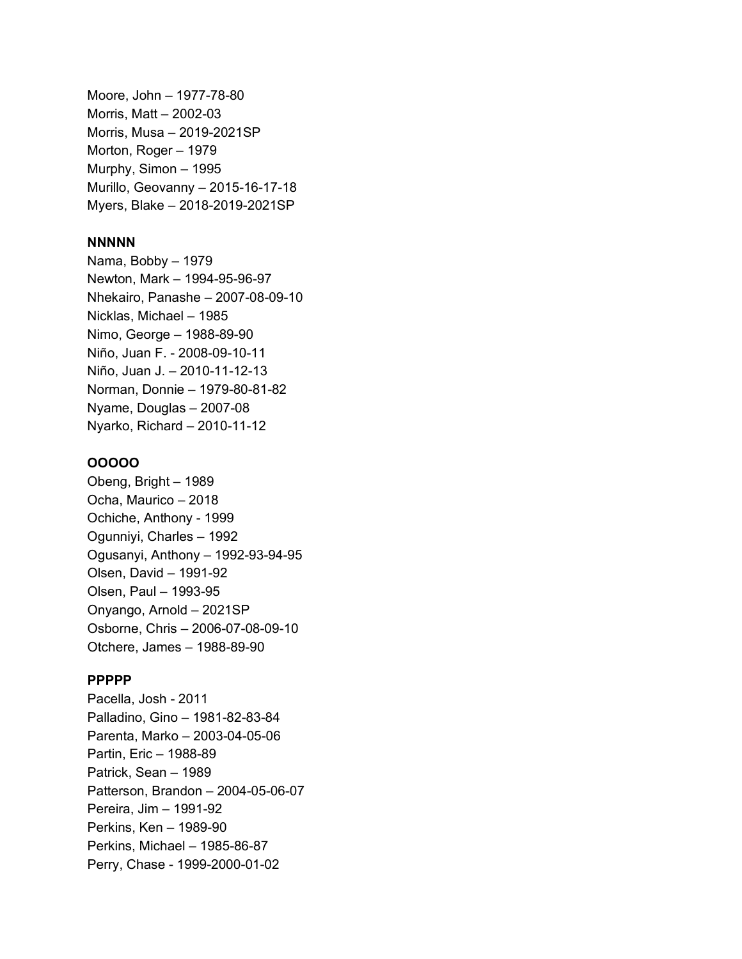Moore, John – 1977-78-80 Morris, Matt – 2002-03 Morris, Musa – 2019-2021SP Morton, Roger – 1979 Murphy, Simon – 1995 Murillo, Geovanny – 2015-16-17-18 Myers, Blake – 2018-2019-2021SP

### **NNNNN**

Nama, Bobby – 1979 Newton, Mark – 1994-95-96-97 Nhekairo, Panashe – 2007-08-09-10 Nicklas, Michael – 1985 Nimo, George – 1988-89-90 Niño, Juan F. - 2008-09-10-11 Niño, Juan J. – 2010-11-12-13 Norman, Donnie – 1979-80-81-82 Nyame, Douglas – 2007-08 Nyarko, Richard – 2010-11-12

#### **OOOOO**

Obeng, Bright – 1989 Ocha, Maurico – 2018 Ochiche, Anthony - 1999 Ogunniyi, Charles – 1992 Ogusanyi, Anthony – 1992-93-94-95 Olsen, David – 1991-92 Olsen, Paul – 1993-95 Onyango, Arnold – 2021SP Osborne, Chris – 2006-07-08-09-10 Otchere, James – 1988-89-90

### **PPPPP**

Pacella, Josh - 2011 Palladino, Gino – 1981-82-83-84 Parenta, Marko – 2003-04-05-06 Partin, Eric – 1988-89 Patrick, Sean – 1989 Patterson, Brandon – 2004-05-06-07 Pereira, Jim – 1991-92 Perkins, Ken – 1989-90 Perkins, Michael – 1985-86-87 Perry, Chase - 1999-2000-01-02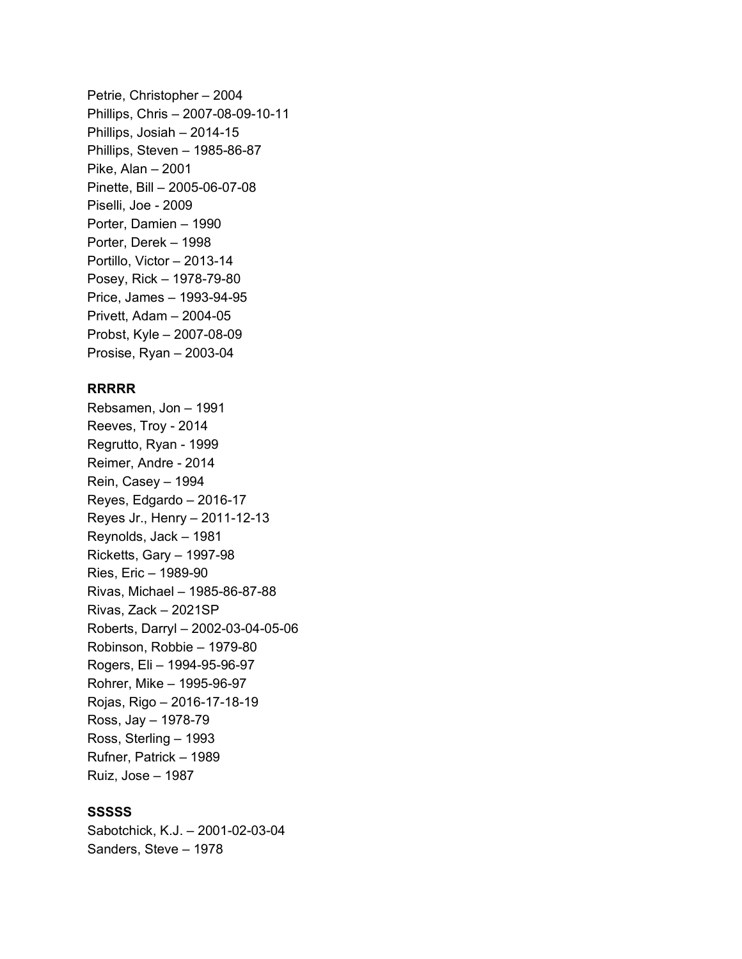Petrie, Christopher – 2004 Phillips, Chris – 2007-08-09-10-11 Phillips, Josiah – 2014-15 Phillips, Steven – 1985-86-87 Pike, Alan – 2001 Pinette, Bill – 2005-06-07-08 Piselli, Joe - 2009 Porter, Damien – 1990 Porter, Derek – 1998 Portillo, Victor – 2013-14 Posey, Rick – 1978-79-80 Price, James – 1993-94-95 Privett, Adam – 2004-05 Probst, Kyle – 2007-08-09 Prosise, Ryan – 2003-04

#### **RRRRR**

Rebsamen, Jon – 1991 Reeves, Troy - 2014 Regrutto, Ryan - 1999 Reimer, Andre - 2014 Rein, Casey – 1994 Reyes, Edgardo – 2016-17 Reyes Jr., Henry – 2011-12-13 Reynolds, Jack – 1981 Ricketts, Gary – 1997-98 Ries, Eric – 1989-90 Rivas, Michael – 1985-86-87-88 Rivas, Zack – 2021SP Roberts, Darryl – 2002-03-04-05-06 Robinson, Robbie – 1979-80 Rogers, Eli – 1994-95-96-97 Rohrer, Mike – 1995-96-97 Rojas, Rigo – 2016-17-18-19 Ross, Jay – 1978-79 Ross, Sterling – 1993 Rufner, Patrick – 1989 Ruiz, Jose – 1987

# **SSSSS**

Sabotchick, K.J. – 2001-02-03-04 Sanders, Steve – 1978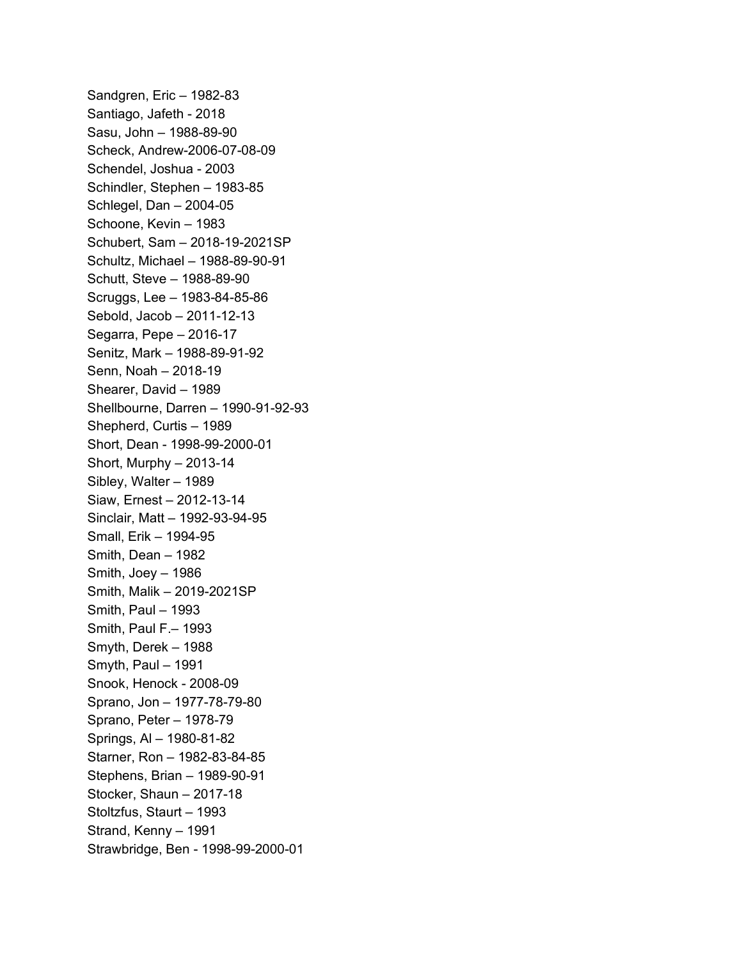Sandgren, Eric – 1982-83 Santiago, Jafeth - 2018 Sasu, John – 1988-89-90 Scheck, Andrew-2006-07-08-09 Schendel, Joshua - 2003 Schindler, Stephen – 1983-85 Schlegel, Dan – 2004-05 Schoone, Kevin – 1983 Schubert, Sam – 2018-19-2021SP Schultz, Michael – 1988-89-90-91 Schutt, Steve – 1988-89-90 Scruggs, Lee – 1983-84-85-86 Sebold, Jacob – 2011-12-13 Segarra, Pepe – 2016-17 Senitz, Mark – 1988-89-91-92 Senn, Noah – 2018-19 Shearer, David – 1989 Shellbourne, Darren – 1990-91-92-93 Shepherd, Curtis – 1989 Short, Dean - 1998-99-2000-01 Short, Murphy – 2013-14 Sibley, Walter – 1989 Siaw, Ernest – 2012-13-14 Sinclair, Matt – 1992-93-94-95 Small, Erik – 1994-95 Smith, Dean – 1982 Smith, Joey – 1986 Smith, Malik – 2019-2021SP Smith, Paul – 1993 Smith, Paul F.– 1993 Smyth, Derek – 1988 Smyth, Paul – 1991 Snook, Henock - 2008-09 Sprano, Jon – 1977-78-79-80 Sprano, Peter – 1978-79 Springs, Al – 1980-81-82 Starner, Ron – 1982-83-84-85 Stephens, Brian – 1989-90-91 Stocker, Shaun – 2017-18 Stoltzfus, Staurt – 1993 Strand, Kenny – 1991 Strawbridge, Ben - 1998-99-2000-01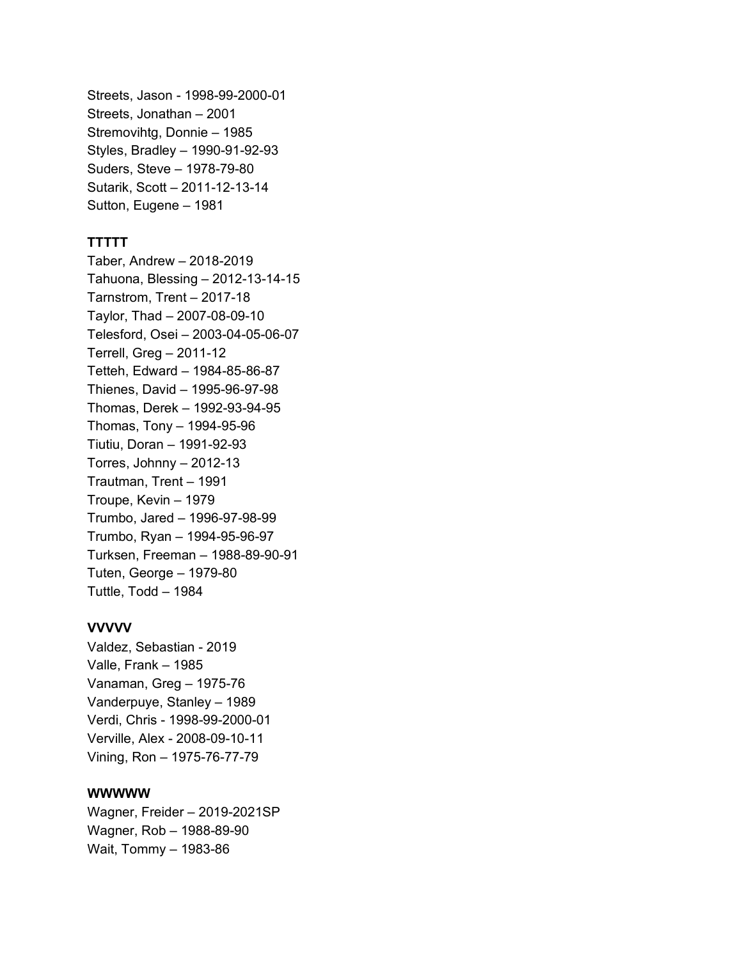Streets, Jason - 1998-99-2000-01 Streets, Jonathan – 2001 Stremovihtg, Donnie – 1985 Styles, Bradley – 1990-91-92-93 Suders, Steve – 1978-79-80 Sutarik, Scott – 2011-12-13-14 Sutton, Eugene – 1981

# **TTTTT**

Taber, Andrew – 2018-2019 Tahuona, Blessing – 2012-13-14-15 Tarnstrom, Trent – 2017-18 Taylor, Thad – 2007-08-09-10 Telesford, Osei – 2003-04-05-06-07 Terrell, Greg – 2011-12 Tetteh, Edward – 1984-85-86-87 Thienes, David – 1995-96-97-98 Thomas, Derek – 1992-93-94-95 Thomas, Tony – 1994-95-96 Tiutiu, Doran – 1991-92-93 Torres, Johnny  $-2012-13$ Trautman, Trent – 1991 Troupe, Kevin – 1979 Trumbo, Jared – 1996-97-98-99 Trumbo, Ryan – 1994-95-96-97 Turksen, Freeman – 1988-89-90-91 Tuten, George – 1979-80 Tuttle, Todd – 1984

# **VVVVV**

Valdez, Sebastian - 2019 Valle, Frank – 1985 Vanaman, Greg – 1975-76 Vanderpuye, Stanley – 1989 Verdi, Chris - 1998-99-2000-01 Verville, Alex - 2008-09-10-11 Vining, Ron – 1975-76-77-79

#### **WWWWW**

Wagner, Freider – 2019-2021SP Wagner, Rob – 1988-89-90 Wait, Tommy – 1983-86